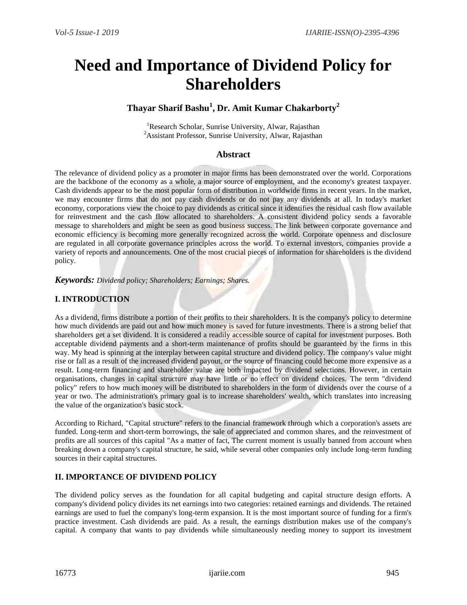# **Need and Importance of Dividend Policy for Shareholders**

# **Thayar Sharif Bashu<sup>1</sup> , Dr. Amit Kumar Chakarborty<sup>2</sup>**

<sup>1</sup>Research Scholar, Sunrise University, Alwar, Rajasthan <sup>2</sup> Assistant Professor, Sunrise University, Alwar, Rajasthan

# **Abstract**

The relevance of dividend policy as a promoter in major firms has been demonstrated over the world. Corporations are the backbone of the economy as a whole, a major source of employment, and the economy's greatest taxpayer. Cash dividends appear to be the most popular form of distribution in worldwide firms in recent years. In the market, we may encounter firms that do not pay cash dividends or do not pay any dividends at all. In today's market economy, corporations view the choice to pay dividends as critical since it identifies the residual cash flow available for reinvestment and the cash flow allocated to shareholders. A consistent dividend policy sends a favorable message to shareholders and might be seen as good business success. The link between corporate governance and economic efficiency is becoming more generally recognized across the world. Corporate openness and disclosure are regulated in all corporate governance principles across the world. To external investors, companies provide a variety of reports and announcements. One of the most crucial pieces of information for shareholders is the dividend policy.

*Keywords: Dividend policy; Shareholders; Earnings; Shares.*

# **I. INTRODUCTION**

As a dividend, firms distribute a portion of their profits to their shareholders. It is the company's policy to determine how much dividends are paid out and how much money is saved for future investments. There is a strong belief that shareholders get a set dividend. It is considered a readily accessible source of capital for investment purposes. Both acceptable dividend payments and a short-term maintenance of profits should be guaranteed by the firms in this way. My head is spinning at the interplay between capital structure and dividend policy. The company's value might rise or fall as a result of the increased dividend payout, or the source of financing could become more expensive as a result. Long-term financing and shareholder value are both impacted by dividend selections. However, in certain organisations, changes in capital structure may have little or no effect on dividend choices. The term "dividend policy" refers to how much money will be distributed to shareholders in the form of dividends over the course of a year or two. The administration's primary goal is to increase shareholders' wealth, which translates into increasing the value of the organization's basic stock.

According to Richard, "Capital structure" refers to the financial framework through which a corporation's assets are funded. Long-term and short-term borrowings, the sale of appreciated and common shares, and the reinvestment of profits are all sources of this capital "As a matter of fact, The current moment is usually banned from account when breaking down a company's capital structure, he said, while several other companies only include long-term funding sources in their capital structures.

# **II. IMPORTANCE OF DIVIDEND POLICY**

The dividend policy serves as the foundation for all capital budgeting and capital structure design efforts. A company's dividend policy divides its net earnings into two categories: retained earnings and dividends. The retained earnings are used to fuel the company's long-term expansion. It is the most important source of funding for a firm's practice investment. Cash dividends are paid. As a result, the earnings distribution makes use of the company's capital. A company that wants to pay dividends while simultaneously needing money to support its investment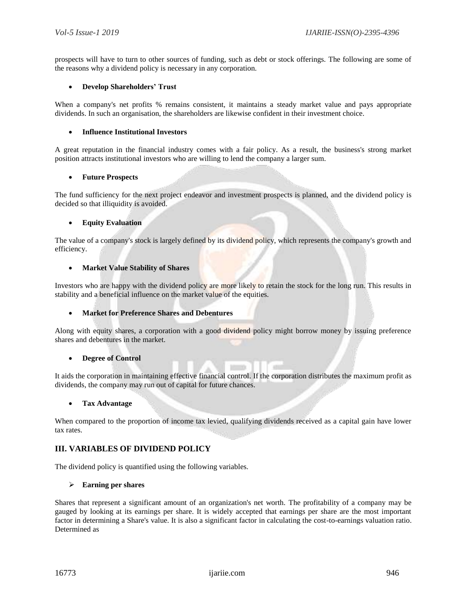prospects will have to turn to other sources of funding, such as debt or stock offerings. The following are some of the reasons why a dividend policy is necessary in any corporation.

# **Develop Shareholders' Trust**

When a company's net profits % remains consistent, it maintains a steady market value and pays appropriate dividends. In such an organisation, the shareholders are likewise confident in their investment choice.

# **Influence Institutional Investors**

A great reputation in the financial industry comes with a fair policy. As a result, the business's strong market position attracts institutional investors who are willing to lend the company a larger sum.

#### **Future Prospects**

The fund sufficiency for the next project endeavor and investment prospects is planned, and the dividend policy is decided so that illiquidity is avoided.

# **Equity Evaluation**

The value of a company's stock is largely defined by its dividend policy, which represents the company's growth and efficiency.

### **Market Value Stability of Shares**

Investors who are happy with the dividend policy are more likely to retain the stock for the long run. This results in stability and a beneficial influence on the market value of the equities.

# **Market for Preference Shares and Debentures**

Along with equity shares, a corporation with a good dividend policy might borrow money by issuing preference shares and debentures in the market.

# **Degree of Control**

It aids the corporation in maintaining effective financial control. If the corporation distributes the maximum profit as dividends, the company may run out of capital for future chances.

# **Tax Advantage**

When compared to the proportion of income tax levied, qualifying dividends received as a capital gain have lower tax rates.

# **III. VARIABLES OF DIVIDEND POLICY**

The dividend policy is quantified using the following variables.

#### **Earning per shares**

Shares that represent a significant amount of an organization's net worth. The profitability of a company may be gauged by looking at its earnings per share. It is widely accepted that earnings per share are the most important factor in determining a Share's value. It is also a significant factor in calculating the cost-to-earnings valuation ratio. Determined as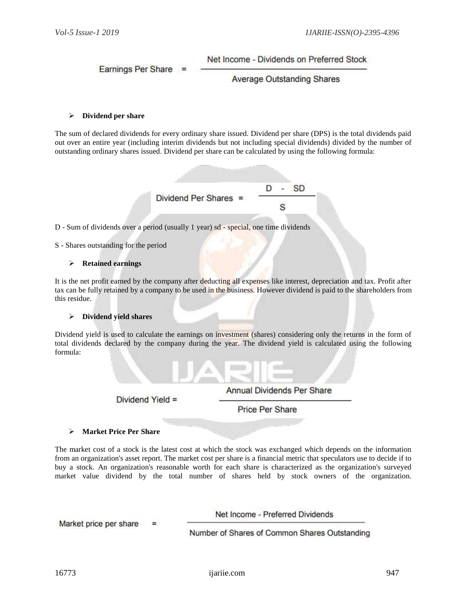Net Income - Dividends on Preferred Stock

Earnings Per Share =

**Average Outstanding Shares** 

# **Dividend per share**

The sum of declared dividends for every ordinary share issued. Dividend per share (DPS) is the total dividends paid out over an entire year (including interim dividends but not including special dividends) divided by the number of outstanding ordinary shares issued. Dividend per share can be calculated by using the following formula:



D - Sum of dividends over a period (usually 1 year) sd - special, one time dividends

# S - Shares outstanding for the period

#### **Retained earnings**

It is the net profit earned by the company after deducting all expenses like interest, depreciation and tax. Profit after tax can be fully retained by a company to be used in the business. However dividend is paid to the shareholders from this residue.

# **Dividend yield shares**

Dividend yield is used to calculate the earnings on investment (shares) considering only the returns in the form of total dividends declared by the company during the year. The dividend yield is calculated using the following formula:



#### **Market Price Per Share**

The market cost of a stock is the latest cost at which the stock was exchanged which depends on the information from an organization's asset report. The market cost per share is a financial metric that speculators use to decide if to buy a stock. An organization's reasonable worth for each share is characterized as the organization's surveyed market value dividend by the total number of shares held by stock owners of the organization.

Net Income - Preferred Dividends

Market price per share Ξ

Number of Shares of Common Shares Outstanding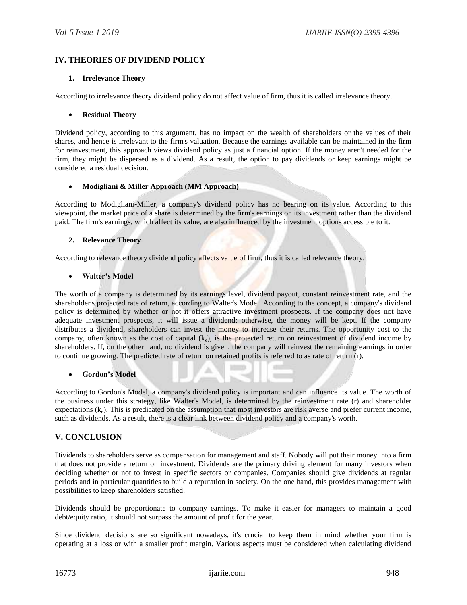# **IV. THEORIES OF DIVIDEND POLICY**

# **1. Irrelevance Theory**

According to irrelevance theory dividend policy do not affect value of firm, thus it is called irrelevance theory.

# **Residual Theory**

Dividend policy, according to this argument, has no impact on the wealth of shareholders or the values of their shares, and hence is irrelevant to the firm's valuation. Because the earnings available can be maintained in the firm for reinvestment, this approach views dividend policy as just a financial option. If the money aren't needed for the firm, they might be dispersed as a dividend. As a result, the option to pay dividends or keep earnings might be considered a residual decision.

# **Modigliani & Miller Approach (MM Approach)**

According to Modigliani-Miller, a company's dividend policy has no bearing on its value. According to this viewpoint, the market price of a share is determined by the firm's earnings on its investment rather than the dividend paid. The firm's earnings, which affect its value, are also influenced by the investment options accessible to it.

# **2. Relevance Theory**

According to relevance theory dividend policy affects value of firm, thus it is called relevance theory.

# **Walter's Model**

The worth of a company is determined by its earnings level, dividend payout, constant reinvestment rate, and the shareholder's projected rate of return, according to Walter's Model. According to the concept, a company's dividend policy is determined by whether or not it offers attractive investment prospects. If the company does not have adequate investment prospects, it will issue a dividend; otherwise, the money will be kept. If the company distributes a dividend, shareholders can invest the money to increase their returns. The opportunity cost to the company, often known as the cost of capital  $(k<sub>e</sub>)$ , is the projected return on reinvestment of dividend income by shareholders. If, on the other hand, no dividend is given, the company will reinvest the remaining earnings in order to continue growing. The predicted rate of return on retained profits is referred to as rate of return (r).

# **Gordon's Model**

According to Gordon's Model, a company's dividend policy is important and can influence its value. The worth of the business under this strategy, like Walter's Model, is determined by the reinvestment rate (r) and shareholder expectations (ke). This is predicated on the assumption that most investors are risk averse and prefer current income, such as dividends. As a result, there is a clear link between dividend policy and a company's worth.

# **V. CONCLUSION**

Dividends to shareholders serve as compensation for management and staff. Nobody will put their money into a firm that does not provide a return on investment. Dividends are the primary driving element for many investors when deciding whether or not to invest in specific sectors or companies. Companies should give dividends at regular periods and in particular quantities to build a reputation in society. On the one hand, this provides management with possibilities to keep shareholders satisfied.

Dividends should be proportionate to company earnings. To make it easier for managers to maintain a good debt/equity ratio, it should not surpass the amount of profit for the year.

Since dividend decisions are so significant nowadays, it's crucial to keep them in mind whether your firm is operating at a loss or with a smaller profit margin. Various aspects must be considered when calculating dividend